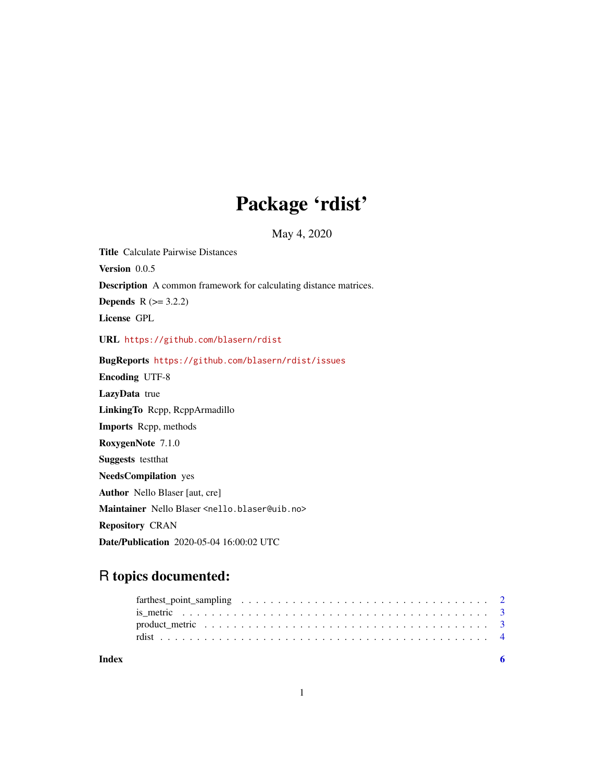## Package 'rdist'

May 4, 2020

Title Calculate Pairwise Distances Version 0.0.5 Description A common framework for calculating distance matrices. **Depends**  $R (= 3.2.2)$ License GPL URL <https://github.com/blasern/rdist> BugReports <https://github.com/blasern/rdist/issues> Encoding UTF-8 LazyData true LinkingTo Rcpp, RcppArmadillo Imports Rcpp, methods RoxygenNote 7.1.0 Suggests testthat NeedsCompilation yes Author Nello Blaser [aut, cre] Maintainer Nello Blaser <nello.blaser@uib.no> Repository CRAN Date/Publication 2020-05-04 16:00:02 UTC

### R topics documented:

| Index |  |  |  |  |  |  |  |  |  |  |  |  |  |  |  |  |
|-------|--|--|--|--|--|--|--|--|--|--|--|--|--|--|--|--|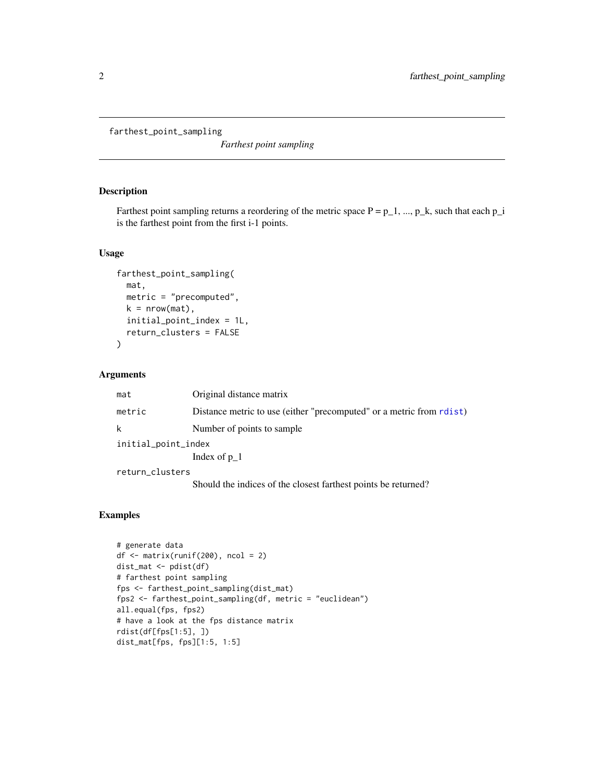```
farthest_point_sampling
```
*Farthest point sampling*

#### Description

Farthest point sampling returns a reordering of the metric space  $P = p_1, ..., p_k$ , such that each  $p_i$ is the farthest point from the first i-1 points.

#### Usage

```
farthest_point_sampling(
  mat,
 metric = "precomputed",
 k = nrow(mat),
  initial_point_index = 1L,
  return_clusters = FALSE
)
```
#### Arguments

| mat                 | Original distance matrix                                             |  |  |  |  |  |
|---------------------|----------------------------------------------------------------------|--|--|--|--|--|
| metric              | Distance metric to use (either "precomputed" or a metric from rdist) |  |  |  |  |  |
| k                   | Number of points to sample                                           |  |  |  |  |  |
| initial_point_index |                                                                      |  |  |  |  |  |
|                     | Index of $p1$                                                        |  |  |  |  |  |
| return_clusters     |                                                                      |  |  |  |  |  |
|                     | Should the indices of the closest farthest points be returned?       |  |  |  |  |  |

#### Examples

```
# generate data
df <- matrix(runif(200), ncol = 2)
dist_mat <- pdist(df)
# farthest point sampling
fps <- farthest_point_sampling(dist_mat)
fps2 <- farthest_point_sampling(df, metric = "euclidean")
all.equal(fps, fps2)
# have a look at the fps distance matrix
rdist(df[fps[1:5], ])
dist_mat[fps, fps][1:5, 1:5]
```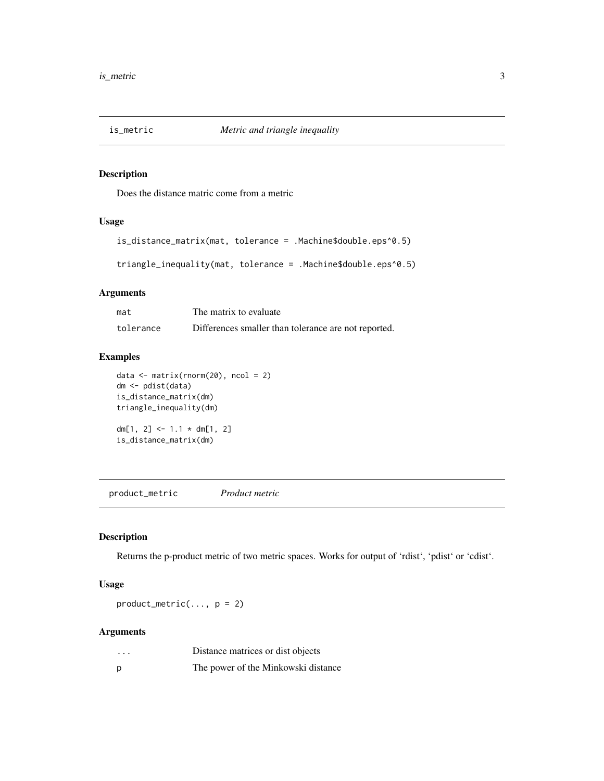<span id="page-2-0"></span>

#### Description

Does the distance matric come from a metric

#### Usage

```
is_distance_matrix(mat, tolerance = .Machine$double.eps^0.5)
triangle_inequality(mat, tolerance = .Machine$double.eps^0.5)
```
#### Arguments

| mat       | The matrix to evaluate                               |
|-----------|------------------------------------------------------|
| tolerance | Differences smaller than tolerance are not reported. |

#### Examples

```
data \leq matrix(rnorm(20), ncol = 2)
dm <- pdist(data)
is_distance_matrix(dm)
triangle_inequality(dm)
dm[1, 2] <- 1.1 * dm[1, 2]
is_distance_matrix(dm)
```
product\_metric *Product metric*

#### Description

Returns the p-product metric of two metric spaces. Works for output of 'rdist', 'pdist' or 'cdist'.

#### Usage

 $product_metric(..., p = 2)$ 

#### Arguments

| $\cdot\cdot\cdot$ | Distance matrices or dist objects   |
|-------------------|-------------------------------------|
| р                 | The power of the Minkowski distance |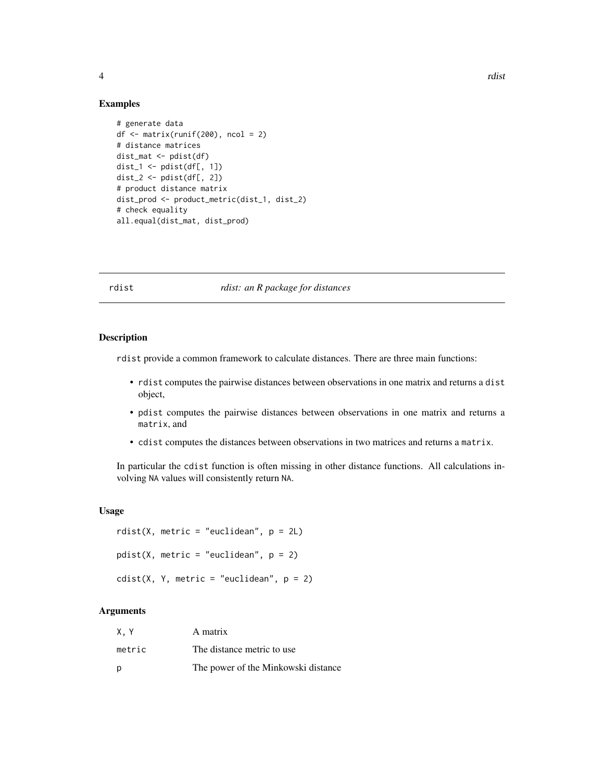#### 4 and 2008 and 2008 and 2008 and 2008 and 2008 and 2008 and 2008 and 2008 and 2008 and 2008 and 2008 and 2008 and 2008 and 2008 and 2008 and 2008 and 2008 and 2008 and 2008 and 2008 and 2008 and 2008 and 2008 and 2008 and

#### Examples

```
# generate data
df <- matrix(runif(200), ncol = 2)
# distance matrices
dist_mat <- pdist(df)
dist_1 <- pdist(df[, 1])
dist_2 <- pdist(df[, 2])
# product distance matrix
dist_prod <- product_metric(dist_1, dist_2)
# check equality
all.equal(dist_mat, dist_prod)
```
#### <span id="page-3-1"></span>rdist *rdist: an R package for distances*

#### Description

rdist provide a common framework to calculate distances. There are three main functions:

- rdist computes the pairwise distances between observations in one matrix and returns a dist object,
- pdist computes the pairwise distances between observations in one matrix and returns a matrix, and
- cdist computes the distances between observations in two matrices and returns a matrix.

In particular the cdist function is often missing in other distance functions. All calculations involving NA values will consistently return NA.

#### Usage

```
rdist(X, metric = "euclidean", p = 2L)
pdist(X, metric = "euclidean", p = 2)
cdist(X, Y, metric = "euclidean", p = 2)
```
#### Arguments

| X.Y    | A matrix                            |
|--------|-------------------------------------|
| metric | The distance metric to use          |
| p      | The power of the Minkowski distance |

<span id="page-3-0"></span>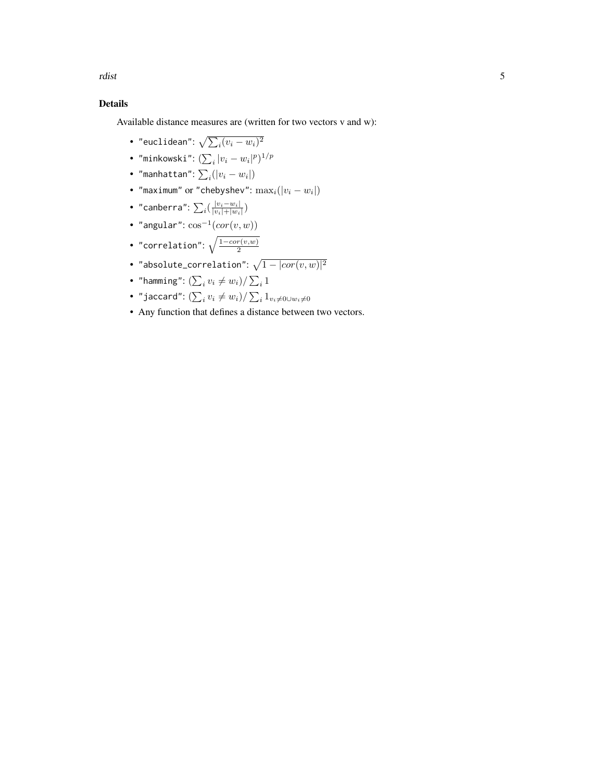rdist 5

#### Details

Available distance measures are (written for two vectors v and w):

- "euclidean":  $\sqrt{\sum_i (v_i w_i)^2}$
- "minkowski":  $(\sum_i |v_i-w_i|^p)^{1/p}$
- "manhattan":  $\sum_i (|v_i w_i|)$
- "maximum" or "chebyshev":  $\max_i(|v_i-w_i|)$
- "canberra":  $\sum_i (\frac{|v_i w_i|}{|v_i| + |w_i|})$  $\frac{|v_i-w_i|}{|v_i|+|w_i|})$
- "angular":  $\cos^{-1}(cor(v, w))$
- "correlation":  $\sqrt{\frac{1-cor(v,w)}{2}}$ 2
- "absolute\_correlation":  $\sqrt{1 |cor(v,w)|^2}$
- "hamming":  $(\sum_i v_i \neq w_i) / \sum_i 1$
- "jaccard":  $(\sum_i v_i \neq w_i) / \sum_i 1_{v_i \neq 0 \cup w_i \neq 0}$
- Any function that defines a distance between two vectors.